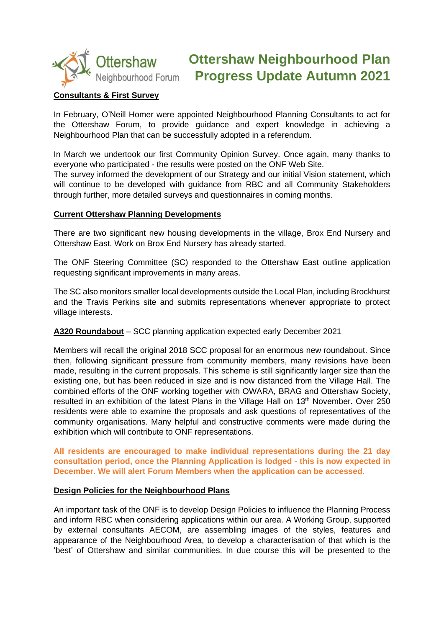

# **Ottershaw Neighbourhood Plan Progress Update Autumn 2021**

## **Consultants & First Survey**

In February, O'Neill Homer were appointed Neighbourhood Planning Consultants to act for the Ottershaw Forum, to provide guidance and expert knowledge in achieving a Neighbourhood Plan that can be successfully adopted in a referendum.

In March we undertook our first Community Opinion Survey. Once again, many thanks to everyone who participated - the results were posted on the ONF Web Site.

The survey informed the development of our Strategy and our initial Vision statement, which will continue to be developed with quidance from RBC and all Community Stakeholders through further, more detailed surveys and questionnaires in coming months.

#### **Current Ottershaw Planning Developments**

There are two significant new housing developments in the village, Brox End Nursery and Ottershaw East. Work on Brox End Nursery has already started.

The ONF Steering Committee (SC) responded to the Ottershaw East outline application requesting significant improvements in many areas.

The SC also monitors smaller local developments outside the Local Plan, including Brockhurst and the Travis Perkins site and submits representations whenever appropriate to protect village interests.

## **A320 Roundabout** – SCC planning application expected early December 2021

Members will recall the original 2018 SCC proposal for an enormous new roundabout. Since then, following significant pressure from community members, many revisions have been made, resulting in the current proposals. This scheme is still significantly larger size than the existing one, but has been reduced in size and is now distanced from the Village Hall. The combined efforts of the ONF working together with OWARA, BRAG and Ottershaw Society, resulted in an exhibition of the latest Plans in the Village Hall on 13<sup>th</sup> November. Over 250 residents were able to examine the proposals and ask questions of representatives of the community organisations. Many helpful and constructive comments were made during the exhibition which will contribute to ONF representations.

**All residents are encouraged to make individual representations during the 21 day consultation period, once the Planning Application is lodged - this is now expected in December. We will alert Forum Members when the application can be accessed.**

#### **Design Policies for the Neighbourhood Plans**

An important task of the ONF is to develop Design Policies to influence the Planning Process and inform RBC when considering applications within our area. A Working Group, supported by external consultants AECOM, are assembling images of the styles, features and appearance of the Neighbourhood Area, to develop a characterisation of that which is the 'best' of Ottershaw and similar communities. In due course this will be presented to the